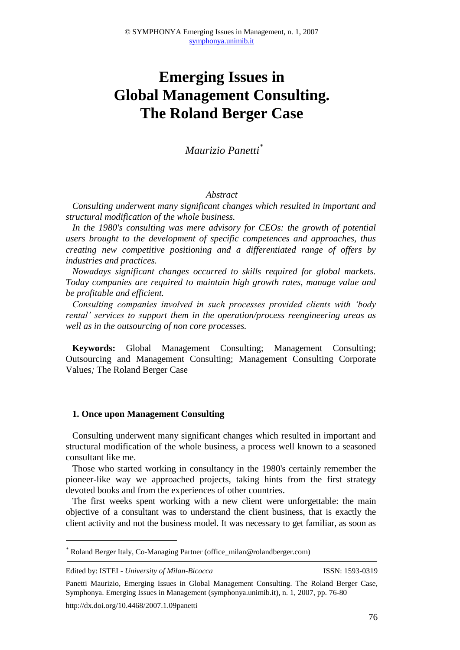# **Emerging Issues in Global Management Consulting. The Roland Berger Case**

## *Maurizio Panetti\**

#### *Abstract*

*Consulting underwent many significant changes which resulted in important and structural modification of the whole business.*

*In the 1980's consulting was mere advisory for CEOs: the growth of potential users brought to the development of specific competences and approaches, thus creating new competitive positioning and a differentiated range of offers by industries and practices.* 

*Nowadays significant changes occurred to skills required for global markets. Today companies are required to maintain high growth rates, manage value and be profitable and efficient.*

*Consulting companies involved in such processes provided clients with 'body rental' services to support them in the operation/process reengineering areas as well as in the outsourcing of non core processes.*

**Keywords:** Global Management Consulting; Management Consulting; Outsourcing and Management Consulting; Management Consulting Corporate Values*;* The Roland Berger Case

#### **1. Once upon Management Consulting**

Consulting underwent many significant changes which resulted in important and structural modification of the whole business, a process well known to a seasoned consultant like me.

Those who started working in consultancy in the 1980's certainly remember the pioneer-like way we approached projects, taking hints from the first strategy devoted books and from the experiences of other countries.

The first weeks spent working with a new client were unforgettable: the main objective of a consultant was to understand the client business, that is exactly the client activity and not the business model. It was necessary to get familiar, as soon as

http://dx.doi.org/10.4468/2007.1.09panetti

<u>.</u>

<sup>\*</sup> Roland Berger Italy, Co-Managing Partner (office\_milan@rolandberger.com)

Edited by: ISTEI - *University of Milan-Bicocca* ISSN: 1593-0319

Panetti Maurizio, Emerging Issues in Global Management Consulting. The Roland Berger Case, Symphonya. Emerging Issues in Management (symphonya.unimib.it), n. 1, 2007, pp. 76-80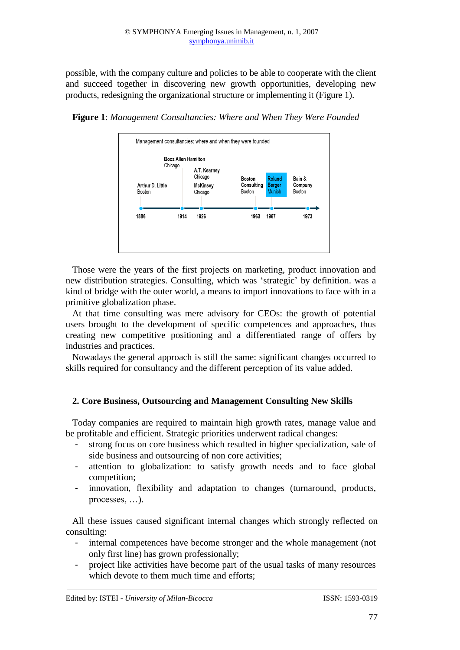possible, with the company culture and policies to be able to cooperate with the client and succeed together in discovering new growth opportunities, developing new products, redesigning the organizational structure or implementing it (Figure 1).



**Figure 1**: *Management Consultancies: Where and When They Were Founded*

Those were the years of the first projects on marketing, product innovation and new distribution strategies. Consulting, which was 'strategic' by definition. was a kind of bridge with the outer world, a means to import innovations to face with in a primitive globalization phase.

At that time consulting was mere advisory for CEOs: the growth of potential users brought to the development of specific competences and approaches, thus creating new competitive positioning and a differentiated range of offers by industries and practices.

Nowadays the general approach is still the same: significant changes occurred to skills required for consultancy and the different perception of its value added.

### **2. Core Business, Outsourcing and Management Consulting New Skills**

Today companies are required to maintain high growth rates, manage value and be profitable and efficient. Strategic priorities underwent radical changes:

- strong focus on core business which resulted in higher specialization, sale of side business and outsourcing of non core activities;
- attention to globalization: to satisfy growth needs and to face global competition;
- innovation, flexibility and adaptation to changes (turnaround, products, processes, …).

All these issues caused significant internal changes which strongly reflected on consulting:

- internal competences have become stronger and the whole management (not only first line) has grown professionally;
- project like activities have become part of the usual tasks of many resources which devote to them much time and efforts;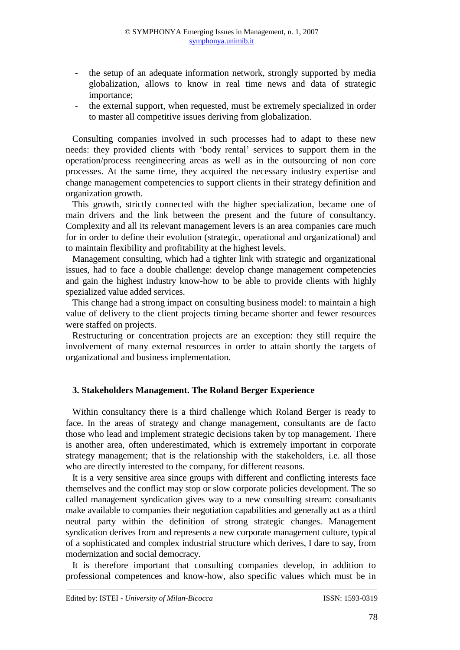- the setup of an adequate information network, strongly supported by media globalization, allows to know in real time news and data of strategic importance;
- the external support, when requested, must be extremely specialized in order to master all competitive issues deriving from globalization.

Consulting companies involved in such processes had to adapt to these new needs: they provided clients with 'body rental' services to support them in the operation/process reengineering areas as well as in the outsourcing of non core processes. At the same time, they acquired the necessary industry expertise and change management competencies to support clients in their strategy definition and organization growth.

This growth, strictly connected with the higher specialization, became one of main drivers and the link between the present and the future of consultancy. Complexity and all its relevant management levers is an area companies care much for in order to define their evolution (strategic, operational and organizational) and to maintain flexibility and profitability at the highest levels.

Management consulting, which had a tighter link with strategic and organizational issues, had to face a double challenge: develop change management competencies and gain the highest industry know-how to be able to provide clients with highly spezialized value added services.

This change had a strong impact on consulting business model: to maintain a high value of delivery to the client projects timing became shorter and fewer resources were staffed on projects.

Restructuring or concentration projects are an exception: they still require the involvement of many external resources in order to attain shortly the targets of organizational and business implementation.

#### **3. Stakeholders Management. The Roland Berger Experience**

Within consultancy there is a third challenge which Roland Berger is ready to face. In the areas of strategy and change management, consultants are de facto those who lead and implement strategic decisions taken by top management. There is another area, often underestimated, which is extremely important in corporate strategy management; that is the relationship with the stakeholders, i.e. all those who are directly interested to the company, for different reasons.

It is a very sensitive area since groups with different and conflicting interests face themselves and the conflict may stop or slow corporate policies development. The so called management syndication gives way to a new consulting stream: consultants make available to companies their negotiation capabilities and generally act as a third neutral party within the definition of strong strategic changes. Management syndication derives from and represents a new corporate management culture, typical of a sophisticated and complex industrial structure which derives, I dare to say, from modernization and social democracy.

It is therefore important that consulting companies develop, in addition to professional competences and know-how, also specific values which must be in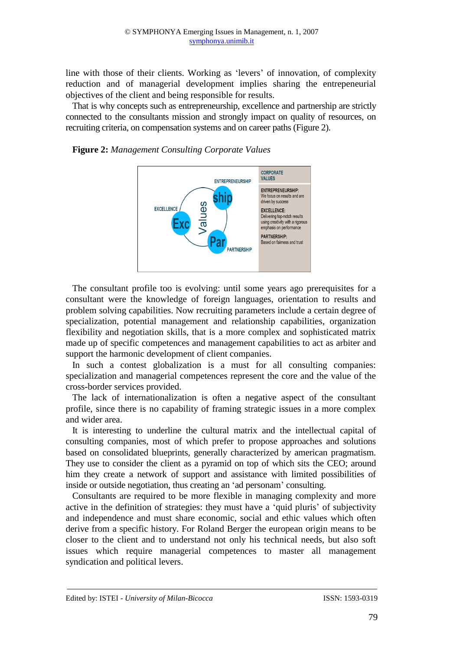line with those of their clients. Working as 'levers' of innovation, of complexity reduction and of managerial development implies sharing the entrepeneurial objectives of the client and being responsible for results.

That is why concepts such as entrepreneurship, excellence and partnership are strictly connected to the consultants mission and strongly impact on quality of resources, on recruiting criteria, on compensation systems and on career paths (Figure 2).

**Figure 2:** *Management Consulting Corporate Values*



The consultant profile too is evolving: until some years ago prerequisites for a consultant were the knowledge of foreign languages, orientation to results and problem solving capabilities. Now recruiting parameters include a certain degree of specialization, potential management and relationship capabilities, organization flexibility and negotiation skills, that is a more complex and sophisticated matrix made up of specific competences and management capabilities to act as arbiter and support the harmonic development of client companies.

In such a contest globalization is a must for all consulting companies: specialization and managerial competences represent the core and the value of the cross-border services provided.

The lack of internationalization is often a negative aspect of the consultant profile, since there is no capability of framing strategic issues in a more complex and wider area.

It is interesting to underline the cultural matrix and the intellectual capital of consulting companies, most of which prefer to propose approaches and solutions based on consolidated blueprints, generally characterized by american pragmatism. They use to consider the client as a pyramid on top of which sits the CEO; around him they create a network of support and assistance with limited possibilities of inside or outside negotiation, thus creating an 'ad personam' consulting.

Consultants are required to be more flexible in managing complexity and more active in the definition of strategies: they must have a 'quid pluris' of subjectivity and independence and must share economic, social and ethic values which often derive from a specific history. For Roland Berger the european origin means to be closer to the client and to understand not only his technical needs, but also soft issues which require managerial competences to master all management syndication and political levers.